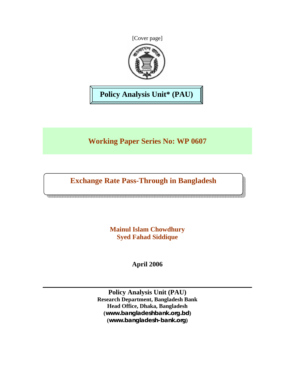[Cover page]



**Policy Analysis Unit\* (PAU)** 

**Working Paper Series No: WP 0607** 

**Exchange Rate Pass-Through in Bangladesh** 

**Mainul Islam Chowdhury Syed Fahad Siddique** 

**April 2006** 

**Policy Analysis Unit (PAU) Research Department, Bangladesh Bank Head Office, Dhaka, Bangladesh (***www.bangladeshbank.org.bd***) (***www.bangladesh-bank.org***)**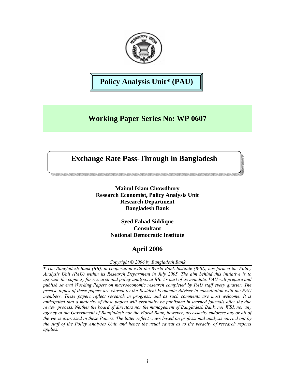

**Policy Analysis Unit\* (PAU)** 

# **Working Paper Series No: WP 0607**

## **Exchange Rate Pass-Through in Bangladesh**

**Mainul Islam Chowdhury Research Economist, Policy Analysis Unit Research Department Bangladesh Bank** 

> **Syed Fahad Siddique Consultant National Democratic Institute**

## **April 2006**

*Copyright © 2006 by Bangladesh Bank* 

**\*** *The Bangladesh Bank (BB), in cooperation with the World Bank Institute (WBI), has formed the Policy Analysis Unit (PAU) within its Research Department in July 2005. The aim behind this initiative is to upgrade the capacity for research and policy analysis at BB. As part of its mandate, PAU will prepare and publish several Working Papers on macroeconomic research completed by PAU staff every quarter. The precise topics of these papers are chosen by the Resident Economic Adviser in consultation with the PAU members. These papers reflect research in progress, and as such comments are most welcome. It is anticipated that a majority of these papers will eventually be published in learned journals after the due review process. Neither the board of directors nor the management of Bangladesh Bank, nor WBI, nor any agency of the Government of Bangladesh nor the World Bank, however, necessarily endorses any or all of the views expressed in these Papers. The latter reflect views based on professional analysis carried out by the staff of the Policy Analyses Unit, and hence the usual caveat as to the veracity of research reports applies.*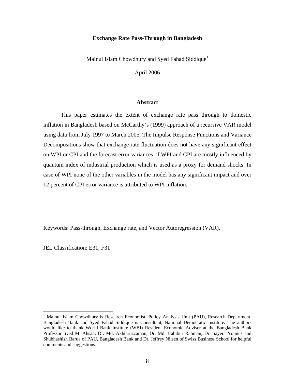## **Exchange Rate Pass-Through in Bangladesh**

Mainul Islam Chowdhury and Syed Fahad Siddique<sup>1</sup>

April 2006

## **Abstract**

This paper estimates the extent of exchange rate pass through to domestic inflation in Bangladesh based on McCarthy's (1999) approach of a recursive VAR model using data from July 1997 to March 2005. The Impulse Response Functions and Variance Decompositions show that exchange rate fluctuation does not have any significant effect on WPI or CPI and the forecast error variances of WPI and CPI are mostly influenced by quantum index of industrial production which is used as a proxy for demand shocks. In case of WPI none of the other variables in the model has any significant impact and over 12 percent of CPI error variance is attributed to WPI inflation.

Keywords: Pass-through, Exchange rate, and Vector Autoregression (VAR).

JEL Classification: E31, F31

 $\overline{a}$ 

<sup>&</sup>lt;sup>1</sup> Mainul Islam Chowdhury is Research Economist, Policy Analysis Unit (PAU), Research Department, Bangladesh Bank and Syed Fahad Siddique is Consultant, National Democratic Institute. The authors would like to thank World Bank Institute (WBI) Resident Economic Adviser at the Bangladesh Bank Professor Syed M. Ahsan, Dr. Md. Akhtaruzzaman, Dr. Md. Habibur Rahman, Dr. Sayera Younus and Shubhashish Barua of PAU, Bangladesh Bank and Dr. Jeffrey Nilsen of Swiss Business School for helpful comments and suggestions.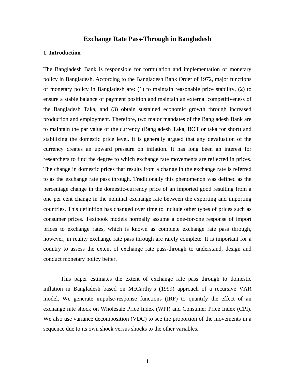## **Exchange Rate Pass-Through in Bangladesh**

## **1. Introduction**

The Bangladesh Bank is responsible for formulation and implementation of monetary policy in Bangladesh. According to the Bangladesh Bank Order of 1972, major functions of monetary policy in Bangladesh are: (1) to maintain reasonable price stability, (2) to ensure a stable balance of payment position and maintain an external competitiveness of the Bangladesh Taka, and (3) obtain sustained economic growth through increased production and employment. Therefore, two major mandates of the Bangladesh Bank are to maintain the par value of the currency (Bangladesh Taka, BOT or taka for short) and stabilizing the domestic price level. It is generally argued that any devaluation of the currency creates an upward pressure on inflation. It has long been an interest for researchers to find the degree to which exchange rate movements are reflected in prices. The change in domestic prices that results from a change in the exchange rate is referred to as the exchange rate pass through. Traditionally this phenomenon was defined as the percentage change in the domestic-currency price of an imported good resulting from a one per cent change in the nominal exchange rate between the exporting and importing countries. This definition has changed over time to include other types of prices such as consumer prices. Textbook models normally assume a one-for-one response of import prices to exchange rates, which is known as complete exchange rate pass through, however, in reality exchange rate pass through are rarely complete. It is important for a country to assess the extent of exchange rate pass-through to understand, design and conduct monetary policy better.

This paper estimates the extent of exchange rate pass through to domestic inflation in Bangladesh based on McCarthy's (1999) approach of a recursive VAR model. We generate impulse-response functions (IRF) to quantify the effect of an exchange rate shock on Wholesale Price Index (WPI) and Consumer Price Index (CPI). We also use variance decomposition (VDC) to see the proportion of the movements in a sequence due to its own shock versus shocks to the other variables.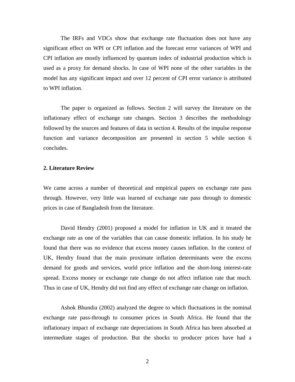The IRFs and VDCs show that exchange rate fluctuation does not have any significant effect on WPI or CPI inflation and the forecast error variances of WPI and CPI inflation are mostly influenced by quantum index of industrial production which is used as a proxy for demand shocks. In case of WPI none of the other variables in the model has any significant impact and over 12 percent of CPI error variance is attributed to WPI inflation.

The paper is organized as follows. Section 2 will survey the literature on the inflationary effect of exchange rate changes. Section 3 describes the methodology followed by the sources and features of data in section 4. Results of the impulse response function and variance decomposition are presented in section 5 while section 6 concludes.

## **2. Literature Review**

We came across a number of theoretical and empirical papers on exchange rate pass through. However, very little was learned of exchange rate pass through to domestic prices in case of Bangladesh from the literature.

David Hendry (2001) proposed a model for inflation in UK and it treated the exchange rate as one of the variables that can cause domestic inflation. In his study he found that there was no evidence that excess money causes inflation. In the context of UK, Hendry found that the main proximate inflation determinants were the excess demand for goods and services, world price inflation and the short-long interest-rate spread. Excess money or exchange rate change do not affect inflation rate that much. Thus in case of UK, Hendry did not find any effect of exchange rate change on inflation.

Ashok Bhundia (2002) analyzed the degree to which fluctuations in the nominal exchange rate pass-through to consumer prices in South Africa. He found that the inflationary impact of exchange rate depreciations in South Africa has been absorbed at intermediate stages of production. But the shocks to producer prices have had a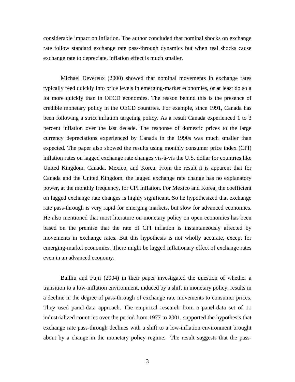considerable impact on inflation. The author concluded that nominal shocks on exchange rate follow standard exchange rate pass-through dynamics but when real shocks cause exchange rate to depreciate, inflation effect is much smaller.

Michael Devereux (2000) showed that nominal movements in exchange rates typically feed quickly into price levels in emerging-market economies, or at least do so a lot more quickly than in OECD economies. The reason behind this is the presence of credible monetary policy in the OECD countries. For example, since 1991, Canada has been following a strict inflation targeting policy. As a result Canada experienced 1 to 3 percent inflation over the last decade. The response of domestic prices to the large currency depreciations experienced by Canada in the 1990s was much smaller than expected. The paper also showed the results using monthly consumer price index (CPI) inflation rates on lagged exchange rate changes vis-à-vis the U.S. dollar for countries like United Kingdom, Canada, Mexico, and Korea. From the result it is apparent that for Canada and the United Kingdom, the lagged exchange rate change has no explanatory power, at the monthly frequency, for CPI inflation. For Mexico and Korea, the coefficient on lagged exchange rate changes is highly significant. So he hypothesized that exchange rate pass-through is very rapid for emerging markets, but slow for advanced economies. He also mentioned that most literature on monetary policy on open economies has been based on the premise that the rate of CPI inflation is instantaneously affected by movements in exchange rates. But this hypothesis is not wholly accurate, except for emerging-market economies. There might be lagged inflationary effect of exchange rates even in an advanced economy.

Bailliu and Fujii (2004) in their paper investigated the question of whether a transition to a low-inflation environment, induced by a shift in monetary policy, results in a decline in the degree of pass-through of exchange rate movements to consumer prices. They used panel-data approach. The empirical research from a panel-data set of 11 industrialized countries over the period from 1977 to 2001, supported the hypothesis that exchange rate pass-through declines with a shift to a low-inflation environment brought about by a change in the monetary policy regime. The result suggests that the pass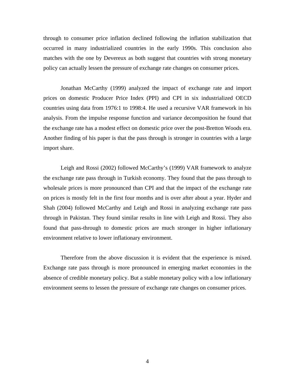through to consumer price inflation declined following the inflation stabilization that occurred in many industrialized countries in the early 1990s. This conclusion also matches with the one by Devereux as both suggest that countries with strong monetary policy can actually lessen the pressure of exchange rate changes on consumer prices.

Jonathan McCarthy (1999) analyzed the impact of exchange rate and import prices on domestic Producer Price Index (PPI) and CPI in six industrialized OECD countries using data from 1976:1 to 1998:4. He used a recursive VAR framework in his analysis. From the impulse response function and variance decomposition he found that the exchange rate has a modest effect on domestic price over the post-Bretton Woods era. Another finding of his paper is that the pass through is stronger in countries with a large import share.

Leigh and Rossi (2002) followed McCarthy's (1999) VAR framework to analyze the exchange rate pass through in Turkish economy. They found that the pass through to wholesale prices is more pronounced than CPI and that the impact of the exchange rate on prices is mostly felt in the first four months and is over after about a year. Hyder and Shah (2004) followed McCarthy and Leigh and Rossi in analyzing exchange rate pass through in Pakistan. They found similar results in line with Leigh and Rossi. They also found that pass-through to domestic prices are much stronger in higher inflationary environment relative to lower inflationary environment.

Therefore from the above discussion it is evident that the experience is mixed. Exchange rate pass through is more pronounced in emerging market economies in the absence of credible monetary policy. But a stable monetary policy with a low inflationary environment seems to lessen the pressure of exchange rate changes on consumer prices.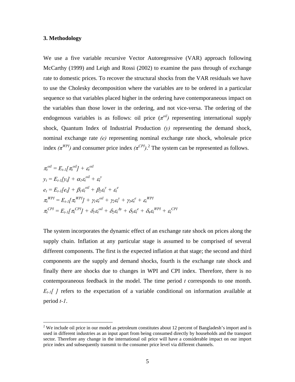## **3. Methodology**

 $\overline{a}$ 

We use a five variable recursive Vector Autoregressive (VAR) approach following McCarthy (1999) and Leigh and Rossi (2002) to examine the pass through of exchange rate to domestic prices. To recover the structural shocks from the VAR residuals we have to use the Cholesky decomposition where the variables are to be ordered in a particular sequence so that variables placed higher in the ordering have contemporaneous impact on the variables than those lower in the ordering, and not vice-versa. The ordering of the endogenous variables is as follows: oil price  $(\pi^{oil})$  representing international supply shock, Quantum Index of Industrial Production  $(y)$  representing the demand shock, nominal exchange rate *(e)* representing nominal exchange rate shock, wholesale price index  $(\pi^{WPI})$  and consumer price index  $(\pi^{CPI})$ .<sup>2</sup> The system can be represented as follows.

$$
\pi_t^{oil} = E_{t-1}[\pi_t^{oil} + \varepsilon_t^{oil}
$$
\n
$$
y_t = E_{t-1}[y_t] + \alpha_1 \varepsilon_t^{oil} + \varepsilon_t^y
$$
\n
$$
e_t = E_{t-1}[e_t] + \beta_1 \varepsilon_t^{oil} + \beta_2 \varepsilon_t^y + \varepsilon_t^e
$$
\n
$$
\pi_t^{WPI} = E_{t-1}[\pi_t^{WPI}] + \gamma_1 \varepsilon_t^{oil} + \gamma_2 \varepsilon_t^y + \gamma_3 \varepsilon_t^e + \varepsilon_t^{WPI}
$$
\n
$$
\pi_t^{CPI} = E_{t-1}[\pi_t^{CPI}] + \delta_1 \varepsilon_t^{oil} + \delta_2 \varepsilon_t^{Ay} + \delta_3 \varepsilon_t^e + \delta_4 \varepsilon_t^{WPI} + \varepsilon_t^{CPI}
$$

The system incorporates the dynamic effect of an exchange rate shock on prices along the supply chain. Inflation at any particular stage is assumed to be comprised of several different components. The first is the expected inflation at that stage; the second and third components are the supply and demand shocks, fourth is the exchange rate shock and finally there are shocks due to changes in WPI and CPI index. Therefore, there is no contemporaneous feedback in the model. The time period *t* corresponds to one month.  $E_{t-1}[$  *[* ] refers to the expectation of a variable conditional on information available at period *t-1*.

<sup>&</sup>lt;sup>2</sup> We include oil price in our model as petroleum constitutes about 12 percent of Bangladesh's import and is used in different industries as an input apart from being consumed directly by households and the transport sector. Therefore any change in the international oil price will have a considerable impact on our import price index and subsequently transmit to the consumer price level via different channels.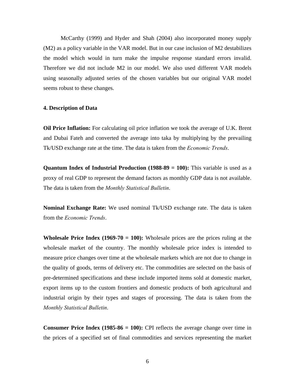McCarthy (1999) and Hyder and Shah (2004) also incorporated money supply (M2) as a policy variable in the VAR model. But in our case inclusion of M2 destabilizes the model which would in turn make the impulse response standard errors invalid. Therefore we did not include M2 in our model. We also used different VAR models using seasonally adjusted series of the chosen variables but our original VAR model seems robust to these changes.

#### **4. Description of Data**

**Oil Price Inflation:** For calculating oil price inflation we took the average of U.K. Brent and Dubai Fateh and converted the average into taka by multiplying by the prevailing Tk/USD exchange rate at the time. The data is taken from the *Economic Trends*.

**Quantum Index of Industrial Production (1988-89 = 100):** This variable is used as a proxy of real GDP to represent the demand factors as monthly GDP data is not available. The data is taken from the *Monthly Statistical Bulletin*.

**Nominal Exchange Rate:** We used nominal Tk/USD exchange rate. The data is taken from the *Economic Trends*.

**Wholesale Price Index (1969-70 = 100):** Wholesale prices are the prices ruling at the wholesale market of the country. The monthly wholesale price index is intended to measure price changes over time at the wholesale markets which are not due to change in the quality of goods, terms of delivery etc. The commodities are selected on the basis of pre-determined specifications and these include imported items sold at domestic market, export items up to the custom frontiers and domestic products of both agricultural and industrial origin by their types and stages of processing. The data is taken from the *Monthly Statistical Bulletin*.

**Consumer Price Index (1985-86 = 100):** CPI reflects the average change over time in the prices of a specified set of final commodities and services representing the market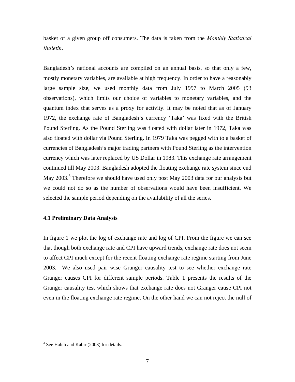basket of a given group off consumers. The data is taken from the *Monthly Statistical Bulletin*.

Bangladesh's national accounts are compiled on an annual basis, so that only a few, mostly monetary variables, are available at high frequency. In order to have a reasonably large sample size, we used monthly data from July 1997 to March 2005 (93 observations), which limits our choice of variables to monetary variables, and the quantum index that serves as a proxy for activity. It may be noted that as of January 1972, the exchange rate of Bangladesh's currency 'Taka' was fixed with the British Pound Sterling. As the Pound Sterling was floated with dollar later in 1972, Taka was also floated with dollar via Pound Sterling. In 1979 Taka was pegged with to a basket of currencies of Bangladesh's major trading partners with Pound Sterling as the intervention currency which was later replaced by US Dollar in 1983. This exchange rate arrangement continued till May 2003. Bangladesh adopted the floating exchange rate system since end May 2003.<sup>3</sup> Therefore we should have used only post May 2003 data for our analysis but we could not do so as the number of observations would have been insufficient. We selected the sample period depending on the availability of all the series.

### **4.1 Preliminary Data Analysis**

In figure 1 we plot the log of exchange rate and log of CPI. From the figure we can see that though both exchange rate and CPI have upward trends, exchange rate does not seem to affect CPI much except for the recent floating exchange rate regime starting from June 2003. We also used pair wise Granger causality test to see whether exchange rate Granger causes CPI for different sample periods. Table 1 presents the results of the Granger causality test which shows that exchange rate does not Granger cause CPI not even in the floating exchange rate regime. On the other hand we can not reject the null of

 $\overline{a}$ 

<sup>&</sup>lt;sup>3</sup> See Habib and Kabir (2003) for details.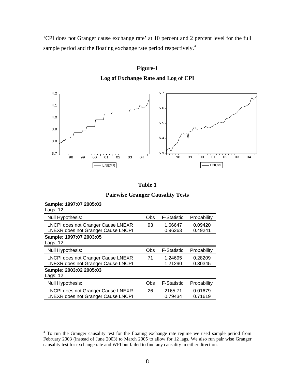'CPI does not Granger cause exchange rate' at 10 percent and 2 percent level for the full sample period and the floating exchange rate period respectively.<sup>4</sup>



**Figure-1 Log of Exchange Rate and Log of CPI** 

| Table 1                                 |  |
|-----------------------------------------|--|
| <b>Pairwise Granger Causality Tests</b> |  |

| Sample: 1997:07 ZUUS:03<br><b>Lags: 12</b>                                      |     |                    |                    |
|---------------------------------------------------------------------------------|-----|--------------------|--------------------|
| Null Hypothesis:                                                                | Obs | <b>F-Statistic</b> | Probability        |
| <b>LNCPI does not Granger Cause LNEXR</b><br>LNEXR does not Granger Cause LNCPI | 93  | 1.66647<br>0.96263 | 0.09420<br>0.49241 |
| Sample: 1997:07 2003:05<br>Lags: 12                                             |     |                    |                    |
| Null Hypothesis:                                                                | Obs | <b>F-Statistic</b> | Probability        |
| LNCPI does not Granger Cause LNEXR<br>LNEXR does not Granger Cause LNCPI        | 71  | 1.24695<br>1.21290 | 0.28209<br>0.30345 |
| Sample: 2003:02 2005:03<br>Lags: 12                                             |     |                    |                    |
| Null Hypothesis:                                                                | Obs | <b>F-Statistic</b> | Probability        |
| LNCPI does not Granger Cause LNEXR<br>LNEXR does not Granger Cause LNCPI        | 26  | 2165.71<br>0.79434 | 0.01679<br>0.71619 |

**Sample: 1997:07 2005:03** 

 4 To run the Granger causality test for the floating exchange rate regime we used sample period from February 2003 (instead of June 2003) to March 2005 to allow for 12 lags. We also run pair wise Granger causality test for exchange rate and WPI but failed to find any causality in either direction.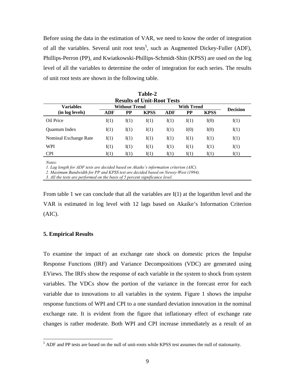Before using the data in the estimation of VAR, we need to know the order of integration of all the variables. Several unit root tests<sup>5</sup>, such as Augmented Dickey-Fuller (ADF), Phillips-Perron (PP), and Kwiatkowski-Phillips-Schmidt-Shin (KPSS) are used on the log level of all the variables to determine the order of integration for each series. The results of unit root tests are shown in the following table.

| <b>Results of Unit-Root Tests</b> |               |      |             |                   |      |             |                 |
|-----------------------------------|---------------|------|-------------|-------------------|------|-------------|-----------------|
| Variables                         | Without Trend |      |             | With Trend        |      |             | <b>Decision</b> |
| (in log levels)                   | ADF           | PP   | <b>KPSS</b> | ADF               | PP   | <b>KPSS</b> |                 |
| Oil Price                         | I(1)          | I(1) | I(1)        | I(1)              | I(1) | I(0)        | I(1)            |
| <b>Ouantum Index</b>              | I(1)          | I(1) | I(1)        | I(1)              | I(0) | I(0)        | I(1)            |
| Nominal Exchange Rate             | I(1)          | I(1) | I(1)        | I(1)              | I(1) | I(1)        | I(1)            |
| <b>WPI</b>                        | I(1)          | I(1) | I(1)        | I(1)              | I(1) | I(1)        | I(1)            |
| <b>CPI</b>                        | I(1)          | I(1) | I(1)        | $\mathfrak{t}(1)$ | I(1) | I(1)        | I(1)            |

**Table-2** 

*Notes:* 

<u>.</u>

*1. Lag length for ADF tests are decided based on Akaike's information criterion (AIC).* 

*2. Maximum Bandwidth for PP and KPSS test are decided based on Newey-West (1994).* 

*3. All the tests are performed on the basis of 5 percent significance level.* 

From table 1 we can conclude that all the variables are  $I(1)$  at the logarithm level and the VAR is estimated in log level with 12 lags based on Akaike's Information Criterion (AIC).

## **5. Empirical Results**

To examine the impact of an exchange rate shock on domestic prices the Impulse Response Functions (IRF) and Variance Decompositions (VDC) are generated using EViews. The IRFs show the response of each variable in the system to shock from system variables. The VDCs show the portion of the variance in the forecast error for each variable due to innovations to all variables in the system. Figure 1 shows the impulse response functions of WPI and CPI to a one standard deviation innovation in the nominal exchange rate. It is evident from the figure that inflationary effect of exchange rate changes is rather moderate. Both WPI and CPI increase immediately as a result of an

 $<sup>5</sup>$  ADF and PP tests are based on the null of unit-roots while KPSS test assumes the null of stationarity.</sup>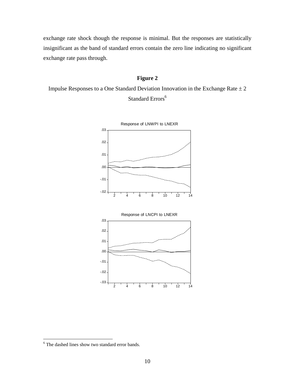exchange rate shock though the response is minimal. But the responses are statistically insignificant as the band of standard errors contain the zero line indicating no significant exchange rate pass through.

## **Figure 2**

Impulse Responses to a One Standard Deviation Innovation in the Exchange Rate  $\pm 2$ Standard Errors<sup>6</sup>



 $\overline{a}$ 

<sup>&</sup>lt;sup>6</sup> The dashed lines show two standard error bands.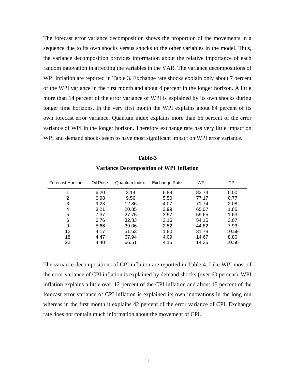The forecast error variance decomposition shows the proportion of the movements in a sequence due to its own shocks versus shocks to the other variables in the model. Thus, the variance decomposition provides information about the relative importance of each random innovation in affecting the variables in the VAR. The variance decompositions of WPI inflation are reported in Table 3. Exchange rate shocks explain only about 7 percent of the WPI variance in the first month and about 4 percent in the longer horizon. A little more than 14 percent of the error variance of WPI is explained by its own shocks during longer time horizons. In the very first month the WPI explains about 84 percent of its own forecast error variance. Quantum index explains more than 66 percent of the error variance of WPI in the longer horizon. Therefore exchange rate has very little impact on WPI and demand shocks seem to have most significant impact on WPI error variance.

| Forecast Horizon | Oil Price | Quantum Index | Exchange Rate | WPI   | CPI   |
|------------------|-----------|---------------|---------------|-------|-------|
|                  | 6.20      | 3.14          | 6.89          | 83.74 | 0.00  |
| 2                | 6.98      | 9.56          | 5.50          | 77.17 | 0.77  |
| 3                | 9.23      | 12.86         | 4.07          | 71.74 | 2.08  |
| 4                | 8.21      | 20.85         | 3.99          | 65.07 | 1.85  |
| 5                | 7.37      | 27.75         | 3.57          | 59.65 | 1.63  |
| 6                | 6.76      | 32.83         | 3.16          | 54.15 | 3.07  |
| 9                | 5.66      | 39.06         | 2.52          | 44.82 | 7.93  |
| 12               | 4.17      | 51.63         | 1.80          | 31.78 | 10.59 |
| 18               | 4.47      | 67.94         | 4.09          | 14.67 | 8.80  |
| 22               | 4.40      | 66.51         | 4.15          | 14.35 | 10.56 |

**Variance Decomposition of WPI Inflation** 

**Table-3** 

The variance decompositions of CPI inflation are reported in Table 4. Like WPI most of the error variance of CPI inflation is explained by demand shocks (over 60 percent). WPI inflation explains a little over 12 percent of the CPI inflation and about 15 percent of the forecast error variance of CPI inflation is explained its own innovations in the long run whereas in the first month it explains 42 percent of the error variance of CPI. Exchange rate does not contain much information about the movement of CPI.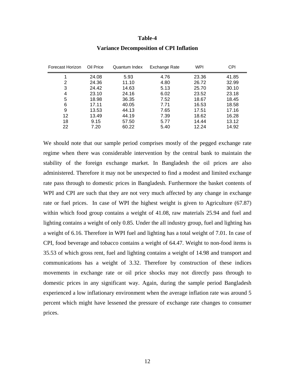#### **Table-4**

| Forecast Horizon | Oil Price | Quantum Index | Exchange Rate | <b>WPI</b> | CPI   |
|------------------|-----------|---------------|---------------|------------|-------|
| 1                | 24.08     | 5.93          | 4.76          | 23.36      | 41.85 |
| 2                | 24.36     | 11.10         | 4.80          | 26.72      | 32.99 |
| 3                | 24.42     | 14.63         | 5.13          | 25.70      | 30.10 |
| 4                | 23.10     | 24.16         | 6.02          | 23.52      | 23.18 |
| 5                | 18.98     | 36.35         | 7.52          | 18.67      | 18.45 |
| 6                | 17.11     | 40.05         | 7.71          | 16.53      | 18.58 |
| 9                | 13.53     | 44.13         | 7.65          | 17.51      | 17.16 |
| 12               | 13.49     | 44.19         | 7.39          | 18.62      | 16.28 |
| 18               | 9.15      | 57.50         | 5.77          | 14.44      | 13.12 |
| 22               | 7.20      | 60.22         | 5.40          | 12.24      | 14.92 |

#### **Variance Decomposition of CPI Inflation**

We should note that our sample period comprises mostly of the pegged exchange rate regime when there was considerable intervention by the central bank to maintain the stability of the foreign exchange market. In Bangladesh the oil prices are also administered. Therefore it may not be unexpected to find a modest and limited exchange rate pass through to domestic prices in Bangladesh. Furthermore the basket contents of WPI and CPI are such that they are not very much affected by any change in exchange rate or fuel prices. In case of WPI the highest weight is given to Agriculture (67.87) within which food group contains a weight of 41.08, raw materials 25.94 and fuel and lighting contains a weight of only 0.85. Under the all industry group, fuel and lighting has a weight of 6.16. Therefore in WPI fuel and lighting has a total weight of 7.01. In case of CPI, food beverage and tobacco contains a weight of 64.47. Weight to non-food items is 35.53 of which gross rent, fuel and lighting contains a weight of 14.98 and transport and communications has a weight of 3.32. Therefore by construction of these indices movements in exchange rate or oil price shocks may not directly pass through to domestic prices in any significant way. Again, during the sample period Bangladesh experienced a low inflationary environment when the average inflation rate was around 5 percent which might have lessened the pressure of exchange rate changes to consumer prices.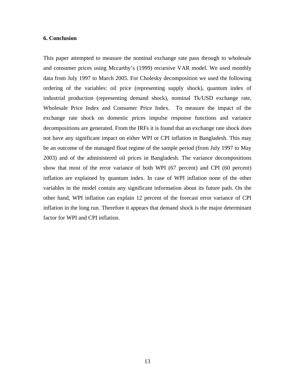### **6. Conclusion**

This paper attempted to measure the nominal exchange rate pass through to wholesale and consumer prices using Mccarthy's (1999) recursive VAR model. We used monthly data from July 1997 to March 2005. For Cholesky decomposition we used the following ordering of the variables: oil price (representing supply shock), quantum index of industrial production (representing demand shock), nominal Tk/USD exchange rate, Wholesale Price Index and Consumer Price Index. To measure the impact of the exchange rate shock on domestic prices impulse response functions and variance decompositions are generated. From the IRFs it is found that an exchange rate shock does not have any significant impact on either WPI or CPI inflation in Bangladesh. This may be an outcome of the managed float regime of the sample period (from July 1997 to May 2003) and of the administered oil prices in Bangladesh. The variance decompositions show that most of the error variance of both WPI (67 percent) and CPI (60 percent) inflation are explained by quantum index. In case of WPI inflation none of the other variables in the model contain any significant information about its future path. On the other hand, WPI inflation can explain 12 percent of the forecast error variance of CPI inflation in the long run. Therefore it appears that demand shock is the major determinant factor for WPI and CPI inflation.